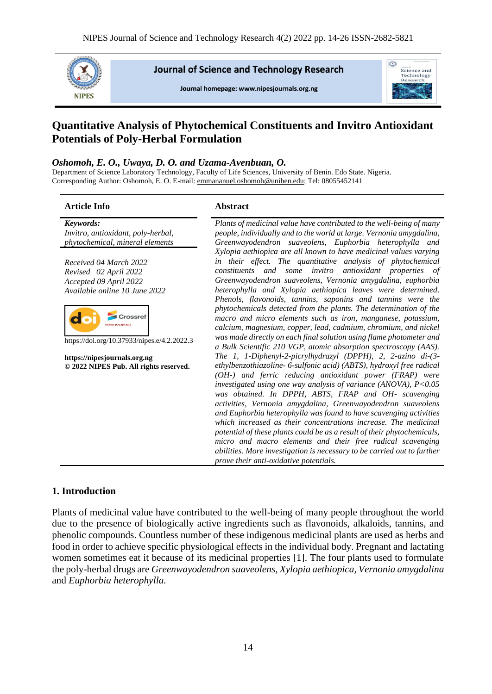

**Journal of Science and Technology Research** 

Journal homepage: www.nipesiournals.org.ng



# **Quantitative Analysis of Phytochemical Constituents and Invitro Antioxidant Potentials of Poly-Herbal Formulation**

#### *Oshomoh, E. O., Uwaya, D. O. and Uzama-Avenbuan, O.*

Department of Science Laboratory Technology, Faculty of Life Sciences, University of Benin. Edo State. Nigeria. Corresponding Author: Oshomoh, E. O. E-mail[: emmananuel.oshomoh@uniben.edu;](mailto:emmananuel.oshomoh@uniben.edu) Tel: 08055452141

#### **Article Info Abstract**

*Keywords: Invitro, antioxidant, poly-herbal, phytochemical, mineral elements*

*Received 04 March 2022 Revised 02 April 2022 Accepted 09 April 2022 Available online 10 June 2022*



https://doi.org/10.37933/nipes.e/4.2.2022.3

**https://nipesjournals.org.ng © 2022 NIPES Pub. All rights reserved.**

*Plants of medicinal value have contributed to the well-being of many people, individually and to the world at large. Vernonia amygdalina, Greenwayodendron suaveolens, Euphorbia heterophylla and Xylopia aethiopica are all known to have medicinal values varying in their effect. The quantitative analysis of phytochemical constituents and some invitro antioxidant properties of Greenwayodendron suaveolens, Vernonia amygdalina, euphorbia heterophylla and Xylopia aethiopica leaves were determined. Phenols, flavonoids, tannins, saponins and tannins were the phytochemicals detected from the plants. The determination of the macro and micro elements such as iron, manganese, potassium, calcium, magnesium, copper, lead, cadmium, chromium, and nickel was made directly on each final solution using flame photometer and a Bulk Scientific 210 VGP, atomic absorption spectroscopy (AAS). The 1, 1-Diphenyl-2-picrylhydrazyl (DPPH), 2, 2-azino di-(3 ethylbenzothiazoline- 6-sulfonic acid) (ABTS), hydroxyl free radical (OH-) and ferric reducing antioxidant power (FRAP) were investigated using one way analysis of variance (ANOVA), P<0.05 was obtained. In DPPH, ABTS, FRAP and OH- scavenging activities, Vernonia amygdalina, Greenwayodendron suaveolens and Euphorbia heterophylla was found to have scavenging activities which increased as their concentrations increase. The medicinal potential of these plants could be as a result of their phytochemicals, micro and macro elements and their free radical scavenging abilities. More investigation is necessary to be carried out to further prove their anti-oxidative potentials.*

#### **1. Introduction**

Plants of medicinal value have contributed to the well-being of many people throughout the world due to the presence of biologically active ingredients such as flavonoids, alkaloids, tannins, and phenolic compounds. Countless number of these indigenous medicinal plants are used as herbs and food in order to achieve specific physiological effects in the individual body. Pregnant and lactating women sometimes eat it because of its medicinal properties [1]. The four plants used to formulate the poly-herbal drugs are *Greenwayodendron suaveolens, Xylopia aethiopica, Vernonia amygdalina*  and *Euphorbia heterophylla.*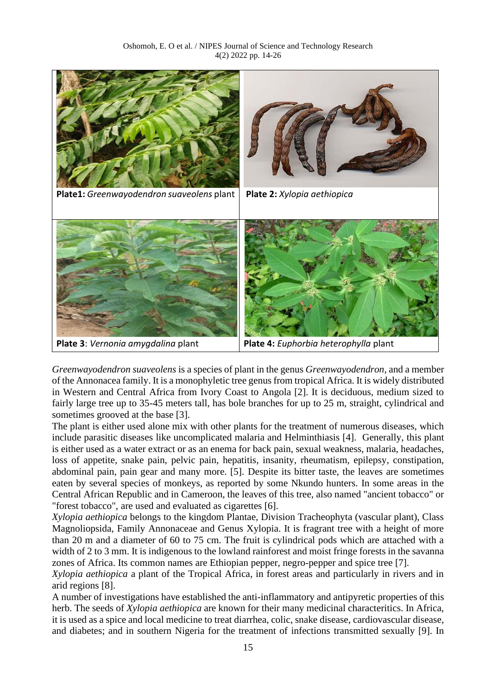

*Greenwayodendron suaveolens* is a species of plant in the genus *Greenwayodendron*, and a member of the Annonacea family. It is a monophyletic tree genus from tropical Africa. It is widely distributed in Western and Central Africa from Ivory Coast to Angola [2]. It is deciduous, medium sized to fairly large tree up to 35-45 meters tall, has bole branches for up to 25 m, straight, cylindrical and sometimes grooved at the base [3].

The plant is either used alone mix with other plants for the treatment of numerous diseases, which include parasitic diseases like uncomplicated malaria and Helminthiasis [4]. Generally, this plant is either used as a water extract or as an enema for back pain, sexual weakness, malaria, headaches, loss of appetite, snake pain, pelvic pain, hepatitis, insanity, rheumatism, epilepsy, constipation, abdominal pain, pain gear and many more. [5]. Despite its bitter taste, the leaves are sometimes eaten by several species of monkeys, as reported by some Nkundo hunters. In some areas in the Central African Republic and in Cameroon, the leaves of this tree, also named "ancient tobacco" or "forest tobacco", are used and evaluated as cigarettes [6].

*Xylopia aethiopica* belongs to the kingdom Plantae, Division Tracheophyta (vascular plant), Class Magnoliopsida, Family Annonaceae and Genus Xylopia. It is fragrant tree with a height of more than 20 m and a diameter of 60 to 75 cm. The fruit is cylindrical pods which are attached with a width of 2 to 3 mm. It is indigenous to the lowland rainforest and moist fringe forests in the savanna zones of Africa. Its common names are Ethiopian pepper, negro-pepper and spice tree [7].

*Xylopia aethiopica* a plant of the Tropical Africa, in forest areas and particularly in rivers and in arid regions [8].

A number of investigations have established the anti-inflammatory and antipyretic properties of this herb. The seeds of *Xylopia aethiopica* are known for their many medicinal characteritics. In Africa, it is used as a spice and local medicine to treat diarrhea, colic, snake disease, cardiovascular disease, and diabetes; and in southern Nigeria for the treatment of infections transmitted sexually [9]. In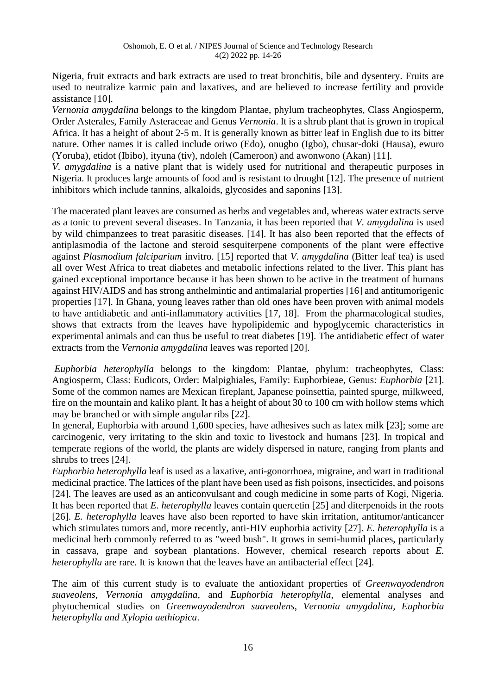Nigeria, fruit extracts and bark extracts are used to treat bronchitis, bile and dysentery. Fruits are used to neutralize karmic pain and laxatives, and are believed to increase fertility and provide assistance [10].

*Vernonia amygdalina* belongs to the kingdom Plantae, phylum tracheophytes, Class Angiosperm, Order Asterales, Family Asteraceae and Genus *Vernonia*. It is a shrub plant that is grown in tropical Africa. It has a height of about 2-5 m. It is generally known as bitter leaf in English due to its bitter nature. Other names it is called include oriwo (Edo), onugbo (Igbo), chusar-doki (Hausa), ewuro (Yoruba), etidot (Ibibo), ityuna (tiv), ndoleh (Cameroon) and awonwono (Akan) [11].

*V. amygdalina* is a native plant that is widely used for nutritional and therapeutic purposes in Nigeria. It produces large amounts of food and is resistant to drought [12]. The presence of nutrient inhibitors which include tannins, alkaloids, glycosides and saponins [13].

The macerated plant leaves are consumed as herbs and vegetables and, whereas water extracts serve as a tonic to prevent several diseases. In Tanzania, it has been reported that *V. amygdalina* is used by wild chimpanzees to treat parasitic diseases. [14]. It has also been reported that the effects of antiplasmodia of the lactone and steroid sesquiterpene components of the plant were effective against *Plasmodium falciparium* invitro. [15] reported that *V. amygdalina* (Bitter leaf tea) is used all over West Africa to treat diabetes and metabolic infections related to the liver. This plant has gained exceptional importance because it has been shown to be active in the treatment of humans against HIV/AIDS and has strong anthelmintic and antimalarial properties [16] and antitumorigenic properties [17]. In Ghana, young leaves rather than old ones have been proven with animal models to have antidiabetic and anti-inflammatory activities [17, 18]. From the pharmacological studies, shows that extracts from the leaves have hypolipidemic and hypoglycemic characteristics in experimental animals and can thus be useful to treat diabetes [19]. The antidiabetic effect of water extracts from the *Vernonia amygdalina* leaves was reported [20].

*Euphorbia heterophylla* belongs to the kingdom: Plantae, phylum: tracheophytes, Class: Angiosperm, Class: Eudicots, Order: Malpighiales, Family: Euphorbieae, Genus: *Euphorbia* [21]. Some of the common names are Mexican fireplant, Japanese poinsettia, painted spurge, milkweed, fire on the mountain and kaliko plant. It has a height of about 30 to 100 cm with hollow stems which may be branched or with simple angular ribs [22].

In general, Euphorbia with around 1,600 species, have adhesives such as latex milk [23]; some are carcinogenic, very irritating to the skin and toxic to livestock and humans [23]. In tropical and temperate regions of the world, the plants are widely dispersed in nature, ranging from plants and shrubs to trees [24].

*Euphorbia heterophylla* leaf is used as a laxative, anti-gonorrhoea, migraine, and wart in traditional medicinal practice. The lattices of the plant have been used as fish poisons, insecticides, and poisons [24]. The leaves are used as an anticonvulsant and cough medicine in some parts of Kogi, Nigeria. It has been reported that *E. heterophylla* leaves contain quercetin [25] and diterpenoids in the roots [26]. *E. heterophylla* leaves have also been reported to have skin irritation, antitumor/anticancer which stimulates tumors and, more recently, anti-HIV euphorbia activity [27]. *E. heterophylla* is a medicinal herb commonly referred to as "weed bush". It grows in semi-humid places, particularly in cassava, grape and soybean plantations. However, chemical research reports about *E. heterophylla* are rare. It is known that the leaves have an antibacterial effect [24].

The aim of this current study is to evaluate the antioxidant properties of *Greenwayodendron suaveolens*, *Vernonia amygdalina,* and *Euphorbia heterophylla*, elemental analyses and phytochemical studies on *Greenwayodendron suaveolens*, *Vernonia amygdalina, Euphorbia heterophylla and Xylopia aethiopica*.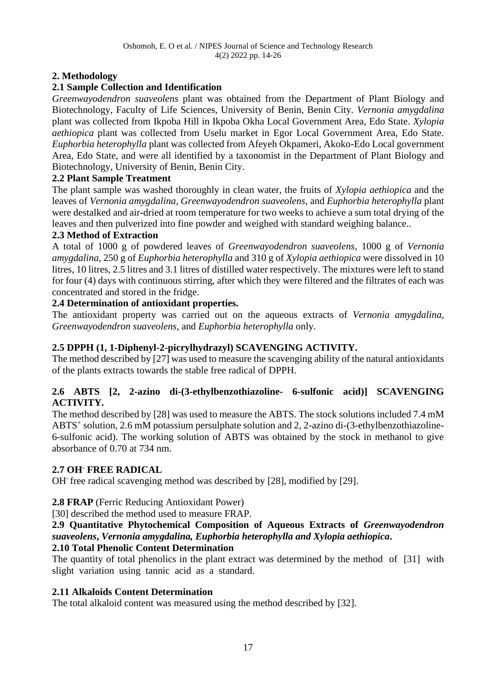# **2. Methodology**

# **2.1 Sample Collection and Identification**

*Greenwayodendron suaveolens* plant was obtained from the Department of Plant Biology and Biotechnology, Faculty of Life Sciences, University of Benin, Benin City. *Vernonia amygdalina* plant was collected from Ikpoba Hill in Ikpoba Okha Local Government Area, Edo State. *Xylopia aethiopica* plant was collected from Uselu market in Egor Local Government Area, Edo State. *Euphorbia heterophylla* plant was collected from Afeyeh Okpameri, Akoko-Edo Local government Area, Edo State, and were all identified by a taxonomist in the Department of Plant Biology and Biotechnology, University of Benin, Benin City.

# **2.2 Plant Sample Treatment**

The plant sample was washed thoroughly in clean water, the fruits of *Xylopia aethiopica* and the leaves of *Vernonia amygdalina, Greenwayodendron suaveolens,* and *Euphorbia heterophylla* plant were destalked and air-dried at room temperature for two weeks to achieve a sum total drying of the leaves and then pulverized into fine powder and weighed with standard weighing balance..

# **2.3 Method of Extraction**

A total of 1000 g of powdered leaves of *Greenwayodendron suaveolens,* 1000 g of *Vernonia amygdalina,* 250 g of *Euphorbia heterophylla* and 310 g of *Xylopia aethiopica* were dissolved in 10 litres, 10 litres, 2.5 litres and 3.1 litres of distilled water respectively. The mixtures were left to stand for four (4) days with continuous stirring, after which they were filtered and the filtrates of each was concentrated and stored in the fridge.

# **2.4 Determination of antioxidant properties.**

The antioxidant property was carried out on the aqueous extracts of *Vernonia amygdalina, Greenwayodendron suaveolens,* and *Euphorbia heterophylla* only.

# **2.5 DPPH (1, 1-Diphenyl-2-picrylhydrazyl) SCAVENGING ACTIVITY.**

The method described by [27] was used to measure the scavenging ability of the natural antioxidants of the plants extracts towards the stable free radical of DPPH.

# **2.6 ABTS [2, 2-azino di-(3-ethylbenzothiazoline- 6-sulfonic acid)] SCAVENGING ACTIVITY.**

The method described by [28] was used to measure the ABTS. The stock solutions included 7.4 mM ABTS<sup>+</sup> solution, 2.6 mM potassium persulphate solution and 2, 2-azino di-(3-ethylbenzothiazoline-6-sulfonic acid). The working solution of ABTS was obtained by the stock in methanol to give absorbance of 0.70 at 734 nm.

# **2.7 OH- FREE RADICAL**

OH<sup>-</sup> free radical scavenging method was described by [28], modified by [29].

# **2.8 FRAP** (Ferric Reducing Antioxidant Power)

[30] described the method used to measure FRAP.

# **2.9 Quantitative Phytochemical Composition of Aqueous Extracts of** *Greenwayodendron suaveolens***,** *Vernonia amygdalina, Euphorbia heterophylla and Xylopia aethiopica***.**

# **2.10 Total Phenolic Content Determination**

The quantity of total phenolics in the plant extract was determined by the method of [31] with slight variation using tannic acid as a standard.

# **2.11 Alkaloids Content Determination**

The total alkaloid content was measured using the method described by [32].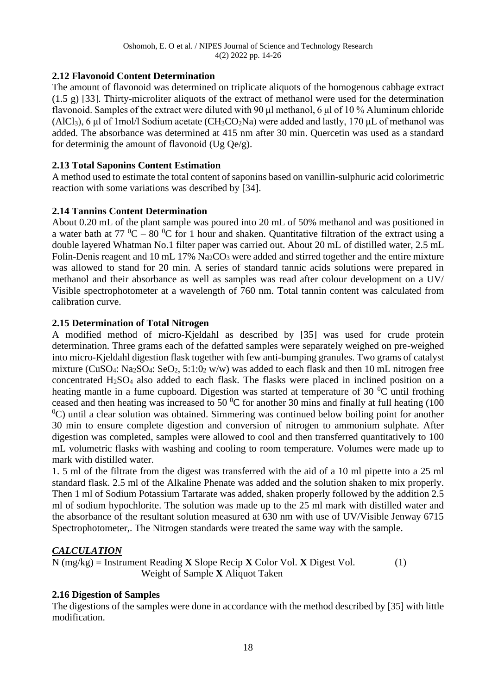# **2.12 Flavonoid Content Determination**

The amount of flavonoid was determined on triplicate aliquots of the homogenous cabbage extract (1.5 g) [33]. Thirty-microliter aliquots of the extract of methanol were used for the determination flavonoid. Samples of the extract were diluted with 90 μl methanol, 6 μl of 10 % Aluminum chloride (AlCl<sub>3</sub>), 6 μl of 1mol/l Sodium acetate (CH<sub>3</sub>CO<sub>2</sub>Na) were added and lastly, 170 μL of methanol was added. The absorbance was determined at 415 nm after 30 min. Quercetin was used as a standard for determinig the amount of flavonoid (Ug Qe/g).

### **2.13 Total Saponins Content Estimation**

A method used to estimate the total content of saponins based on vanillin-sulphuric acid colorimetric reaction with some variations was described by [34].

# **2.14 Tannins Content Determination**

About 0.20 mL of the plant sample was poured into 20 mL of 50% methanol and was positioned in a water bath at 77  $^{0}C - 80$   $^{0}C$  for 1 hour and shaken. Quantitative filtration of the extract using a double layered Whatman No.1 filter paper was carried out. About 20 mL of distilled water, 2.5 mL Folin-Denis reagent and 10 mL 17%  $\text{Na}_2\text{CO}_3$  were added and stirred together and the entire mixture was allowed to stand for 20 min. A series of standard tannic acids solutions were prepared in methanol and their absorbance as well as samples was read after colour development on a UV/ Visible spectrophotometer at a wavelength of 760 nm. Total tannin content was calculated from calibration curve.

#### **2.15 Determination of Total Nitrogen**

A modified method of micro-Kjeldahl as described by [35] was used for crude protein determination. Three grams each of the defatted samples were separately weighed on pre-weighed into micro-Kjeldahl digestion flask together with few anti-bumping granules. Two grams of catalyst mixture (CuSO<sub>4</sub>: Na<sub>2</sub>SO<sub>4</sub>: SeO<sub>2</sub>, 5:1:0<sub>2</sub> w/w) was added to each flask and then 10 mL nitrogen free concentrated  $H<sub>2</sub>SO<sub>4</sub>$  also added to each flask. The flasks were placed in inclined position on a heating mantle in a fume cupboard. Digestion was started at temperature of 30  $^{\circ}$ C until frothing ceased and then heating was increased to 50  $^{\circ}$ C for another 30 mins and finally at full heating (100)  ${}^{0}C$ ) until a clear solution was obtained. Simmering was continued below boiling point for another 30 min to ensure complete digestion and conversion of nitrogen to ammonium sulphate. After digestion was completed, samples were allowed to cool and then transferred quantitatively to 100 mL volumetric flasks with washing and cooling to room temperature. Volumes were made up to mark with distilled water.

1. 5 ml of the filtrate from the digest was transferred with the aid of a 10 ml pipette into a 25 ml standard flask. 2.5 ml of the Alkaline Phenate was added and the solution shaken to mix properly. Then 1 ml of Sodium Potassium Tartarate was added, shaken properly followed by the addition 2.5 ml of sodium hypochlorite. The solution was made up to the 25 ml mark with distilled water and the absorbance of the resultant solution measured at 630 nm with use of UV/Visible Jenway 6715 Spectrophotometer,. The Nitrogen standards were treated the same way with the sample.

# *CALCULATION*

$$
N (mg/kg) = \frac{Instrument Reading \mathbf{X} Slope Recip \mathbf{X} Color Vol. \mathbf{X} Digest Vol.}{Weight of Sample \mathbf{X} Aliquot Taken}
$$
 (1)

# **2.16 Digestion of Samples**

The digestions of the samples were done in accordance with the method described by [35] with little modification.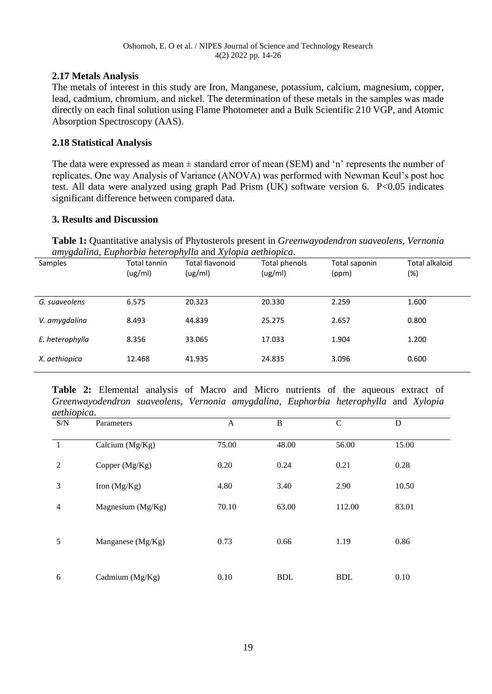### **2.17 Metals Analysis**

The metals of interest in this study are Iron, Manganese, potassium, calcium, magnesium, copper, lead, cadmium, chromium, and nickel. The determination of these metals in the samples was made directly on each final solution using Flame Photometer and a Bulk Scientific 210 VGP, and Atomic Absorption Spectroscopy (AAS).

#### **2.18 Statistical Analysis**

The data were expressed as mean  $\pm$  standard error of mean (SEM) and 'n' represents the number of replicates. One way Analysis of Variance (ANOVA) was performed with Newman Keul's post hoc test. All data were analyzed using graph Pad Prism (UK) software version 6. P<0.05 indicates significant difference between compared data.

#### **3. Results and Discussion**

**Table 1:** Quantitative analysis of Phytosterols present in *Greenwayodendron suaveolens, Vernonia amygdalina, Euphorbia heterophylla* and *Xylopia aethiopica*.

| Samples         | Total tannin<br>(ug/ml) | Total flavonoid<br>(ug/ml) | Total phenols<br>(ug/ml) | Total saponin<br>(ppm) | Total alkaloid<br>(%) |
|-----------------|-------------------------|----------------------------|--------------------------|------------------------|-----------------------|
| G. suaveolens   | 6.575                   | 20.323                     | 20.330                   | 2.259                  | 1.600                 |
| V. amygdalina   | 8.493                   | 44.839                     | 25.275                   | 2.657                  | 0.800                 |
| E. heterophylla | 8.356                   | 33.065                     | 17.033                   | 1.904                  | 1.200                 |
| X. aethiopica   | 12.468                  | 41.935                     | 24.835                   | 3.096                  | 0.600                 |

**Table 2:** Elemental analysis of Macro and Micro nutrients of the aqueous extract of *Greenwayodendron suaveolens, Vernonia amygdalina*, *Euphorbia heterophylla* and *Xylopia aethiopica*.

| S/N            | Parameters          | A     | B          | $\mathsf{C}$ | D     |
|----------------|---------------------|-------|------------|--------------|-------|
| $\mathbf{1}$   | Calcium $(Mg/Kg)$   | 75.00 | 48.00      | 56.00        | 15.00 |
| $\overline{2}$ | Copper (Mg/Kg)      | 0.20  | 0.24       | 0.21         | 0.28  |
| 3              | Iron $(Mg/Kg)$      | 4.80  | 3.40       | 2.90         | 10.50 |
| 4              | Magnesium $(Mg/Kg)$ | 70.10 | 63.00      | 112.00       | 83.01 |
| 5              | Manganese (Mg/Kg)   | 0.73  | 0.66       | 1.19         | 0.86  |
| 6              | Cadmium (Mg/Kg)     | 0.10  | <b>BDL</b> | <b>BDL</b>   | 0.10  |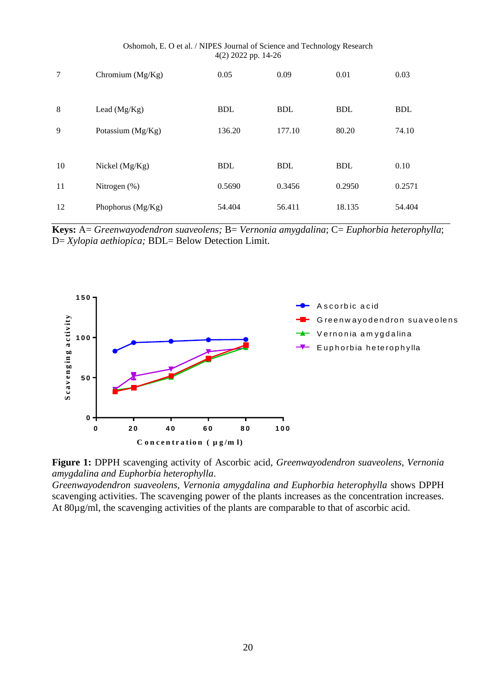|    |                     | $\sqrt{2}$<br>xx |            |            |            |
|----|---------------------|------------------|------------|------------|------------|
| 7  | Chromium $(Mg/Kg)$  | 0.05             | 0.09       | 0.01       | 0.03       |
| 8  | Lead $(Mg/Kg)$      | <b>BDL</b>       | <b>BDL</b> | <b>BDL</b> | <b>BDL</b> |
|    |                     |                  |            |            |            |
| 9  | Potassium (Mg/Kg)   | 136.20           | 177.10     | 80.20      | 74.10      |
|    |                     |                  |            |            |            |
| 10 | Nickel $(Mg/Kg)$    | <b>BDL</b>       | <b>BDL</b> | <b>BDL</b> | 0.10       |
| 11 | Nitrogen $(\%)$     | 0.5690           | 0.3456     | 0.2950     | 0.2571     |
| 12 | Phophorus $(Mg/Kg)$ | 54.404           | 56.411     | 18.135     | 54.404     |

Oshomoh, E. O et al. / NIPES Journal of Science and Technology Research 4(2) 2022 pp. 14-26

**Keys:** A= *Greenwayodendron suaveolens;* B= *Vernonia amygdalina*; C= *Euphorbia heterophylla*; D= *Xylopia aethiopica;* BDL= Below Detection Limit.





*Greenwayodendron suaveolens, Vernonia amygdalina and Euphorbia heterophylla* shows DPPH scavenging activities. The scavenging power of the plants increases as the concentration increases. At 80µg/ml, the scavenging activities of the plants are comparable to that of ascorbic acid.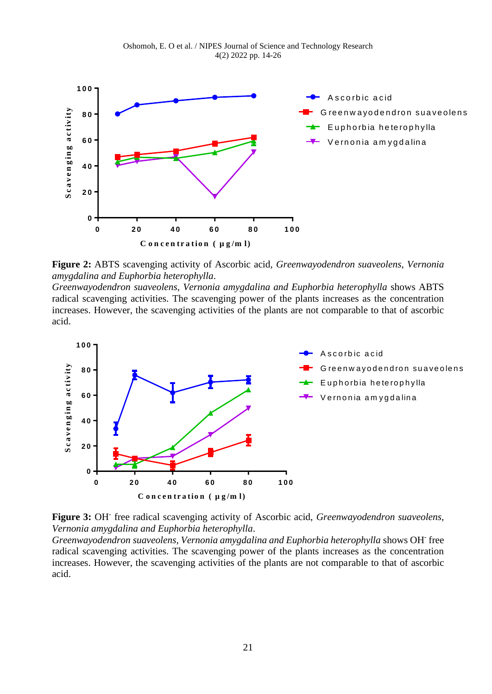



**Figure 2:** ABTS scavenging activity of Ascorbic acid, *Greenwayodendron suaveolens, Vernonia amygdalina and Euphorbia heterophylla*.

*Greenwayodendron suaveolens, Vernonia amygdalina and Euphorbia heterophylla* shows ABTS radical scavenging activities. The scavenging power of the plants increases as the concentration increases. However, the scavenging activities of the plants are not comparable to that of ascorbic acid.





Greenwayodendron suaveolens, Vernonia amygdalina and Euphorbia heterophylla shows OH<sup>-</sup> free radical scavenging activities. The scavenging power of the plants increases as the concentration increases. However, the scavenging activities of the plants are not comparable to that of ascorbic acid.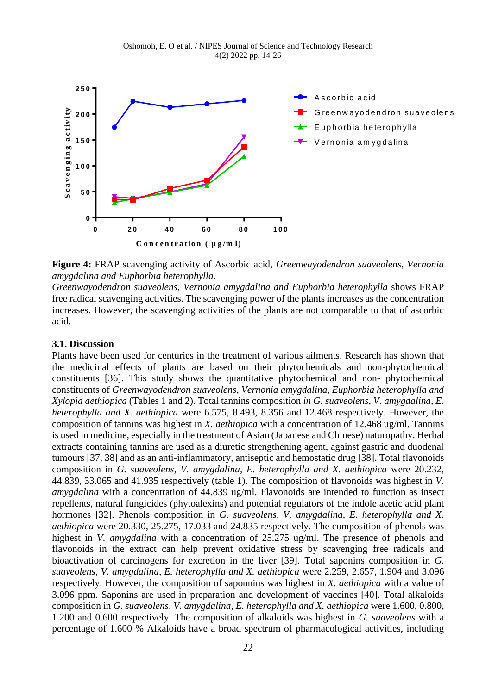

**Figure 4:** FRAP scavenging activity of Ascorbic acid, *Greenwayodendron suaveolens, Vernonia amygdalina and Euphorbia heterophylla*.

*Greenwayodendron suaveolens, Vernonia amygdalina and Euphorbia heterophylla* shows FRAP free radical scavenging activities. The scavenging power of the plants increases as the concentration increases. However, the scavenging activities of the plants are not comparable to that of ascorbic acid.

#### **3.1. Discussion**

Plants have been used for centuries in the treatment of various ailments. Research has shown that the medicinal effects of plants are based on their phytochemicals and non-phytochemical constituents [36]. This study shows the quantitative phytochemical and non- phytochemical constituents of *Greenwayodendron suaveolens, Vernonia amygdalina, Euphorbia heterophylla and Xylopia aethiopica* (Tables 1 and 2). Total tannins composition *in G. suaveolens, V. amygdalina, E. heterophylla and X. aethiopica* were 6.575, 8.493, 8.356 and 12.468 respectively. However, the composition of tannins was highest in *X. aethiopica* with a concentration of 12.468 ug/ml. Tannins is used in medicine, especially in the treatment of Asian (Japanese and Chinese) naturopathy. Herbal extracts containing tannins are used as a diuretic strengthening agent, against gastric and duodenal tumours [37, 38] and as an anti-inflammatory, antiseptic and hemostatic drug [38]. Total flavonoids composition in *G. suaveolens, V. amygdalina, E. heterophylla and X. aethiopica* were 20.232, 44.839, 33.065 and 41.935 respectively (table 1). The composition of flavonoids was highest in *V. amygdalina* with a concentration of 44.839 ug/ml. Flavonoids are intended to function as insect repellents, natural fungicides (phytoalexins) and potential regulators of the indole acetic acid plant hormones [32]. Phenols composition in *G. suaveolens, V. amygdalina, E. heterophylla and X. aethiopica* were 20.330, 25.275, 17.033 and 24.835 respectively. The composition of phenols was highest in *V. amygdalina* with a concentration of 25.275 ug/ml. The presence of phenols and flavonoids in the extract can help prevent oxidative stress by scavenging free radicals and bioactivation of carcinogens for excretion in the liver [39]. Total saponins composition in *G. suaveolens, V. amygdalina, E. heterophylla and X. aethiopica* were 2.259, 2.657, 1.904 and 3.096 respectively. However, the composition of saponnins was highest in *X. aethiopica* with a value of 3.096 ppm. Saponins are used in preparation and development of vaccines [40]. Total alkaloids composition in *G. suaveolens, V. amygdalina, E. heterophylla and X. aethiopica* were 1.600, 0.800, 1.200 and 0.600 respectively. The composition of alkaloids was highest in *G. suaveolens* with a percentage of 1.600 % Alkaloids have a broad spectrum of pharmacological activities, including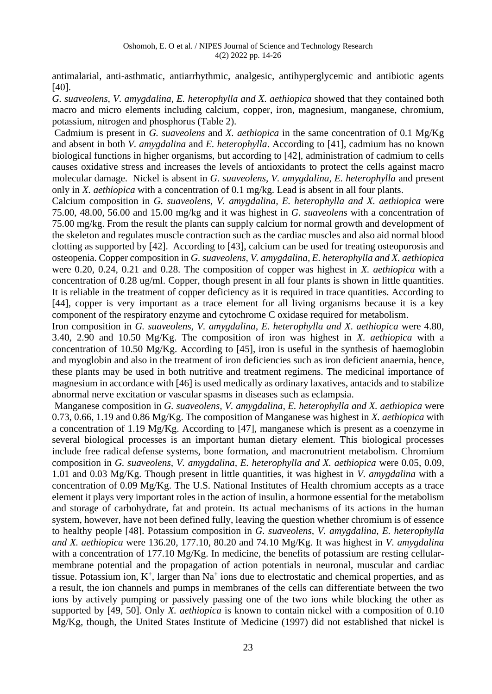antimalarial, anti-asthmatic, antiarrhythmic, analgesic, antihyperglycemic and antibiotic agents [40].

*G. suaveolens, V. amygdalina, E. heterophylla and X. aethiopica* showed that they contained both macro and micro elements including calcium, copper, iron, magnesium, manganese, chromium, potassium, nitrogen and phosphorus (Table 2).

Cadmium is present in *G. suaveolens* and *X. aethiopica* in the same concentration of 0.1 Mg/Kg and absent in both *V. amygdalina* and *E. heterophylla*. According to [41], cadmium has no known biological functions in higher organisms, but according to [42], administration of cadmium to cells causes oxidative stress and increases the levels of antioxidants to protect the cells against macro molecular damage. Nickel is absent in *G. suaveolens, V. amygdalina, E. heterophylla* and present only in *X. aethiopica* with a concentration of 0.1 mg/kg. Lead is absent in all four plants.

Calcium composition in *G. suaveolens, V. amygdalina, E. heterophylla and X. aethiopica* were 75.00, 48.00, 56.00 and 15.00 mg/kg and it was highest in *G. suaveolens* with a concentration of 75.00 mg/kg. From the result the plants can supply calcium for normal growth and development of the skeleton and regulates muscle contraction such as the cardiac muscles and also aid normal blood clotting as supported by [42]. According to [43], calcium can be used for treating osteoporosis and osteopenia. Copper composition in *G. suaveolens, V. amygdalina, E. heterophylla and X. aethiopica* were 0.20, 0.24, 0.21 and 0.28. The composition of copper was highest in *X. aethiopica* with a concentration of 0.28 ug/ml. Copper, though present in all four plants is shown in little quantities. It is reliable in the treatment of copper deficiency as it is required in trace quantities. According to [44], copper is very important as a trace element for all living organisms because it is a key component of the respiratory enzyme and cytochrome C oxidase required for metabolism.

Iron composition in *G. suaveolens, V. amygdalina, E. heterophylla and X. aethiopica* were 4.80, 3.40, 2.90 and 10.50 Mg/Kg. The composition of iron was highest in *X. aethiopica* with a concentration of 10.50 Mg/Kg. According to [45], iron is useful in the synthesis of haemoglobin and myoglobin and also in the treatment of iron deficiencies such as iron deficient anaemia, hence, these plants may be used in both nutritive and treatment regimens. The medicinal importance of magnesium in accordance with [46] is used medically as ordinary laxatives, antacids and to stabilize abnormal nerve excitation or vascular spasms in diseases such as eclampsia.

Manganese composition in *G. suaveolens, V. amygdalina, E. heterophylla and X. aethiopica* were 0.73, 0.66, 1.19 and 0.86 Mg/Kg. The composition of Manganese was highest in *X. aethiopica* with a concentration of 1.19 Mg/Kg. According to [47], manganese which is present as a [coenzyme](https://en.wikipedia.org/wiki/Coenzyme) in several biological processes is an important human dietary element. This biological processes include [free radical](https://en.wikipedia.org/wiki/Free_radical) defense systems, bone formation, and macronutrient metabolism. Chromium composition in *G. suaveolens, V. amygdalina, E. heterophylla and X. aethiopica* were 0.05, 0.09, 1.01 and 0.03 Mg/Kg. Though present in little quantities, it was highest in *V. amygdalina* with a concentration of 0.09 Mg/Kg. The U.S. National Institutes of Health chromium accepts as a trace element it plays very important roles in the action of [insulin,](https://en.wikipedia.org/wiki/Insulin) a hormone essential for the metabolism and storage of carbohydrate, fat and protein. Its actual mechanisms of its actions in the human system, however, have not been defined fully, leaving the question whether chromium is of essence to healthy people [48]. Potassium composition in *G. suaveolens, V. amygdalina, E. heterophylla and X. aethiopica* were 136.20, 177.10, 80.20 and 74.10 Mg/Kg. It was highest in *V. amygdalina*  with a concentration of 177.10 Mg/Kg. In medicine, the benefits of potassium are resting cellularmembrane potential and the propagation of action potentials in neuronal, muscular and cardiac tissue. Potassium ion,  $K^+$ , larger than Na<sup>+</sup> ions due to electrostatic and chemical properties, and as a result, the ion channels and pumps in membranes of the cells can differentiate between the two ions by actively pumping or passively passing one of the two ions while blocking the other as supported by [49, 50]. Only *X. aethiopica* is known to contain nickel with a composition of 0.10 Mg/Kg, though, the United States Institute of Medicine (1997) did not established that nickel is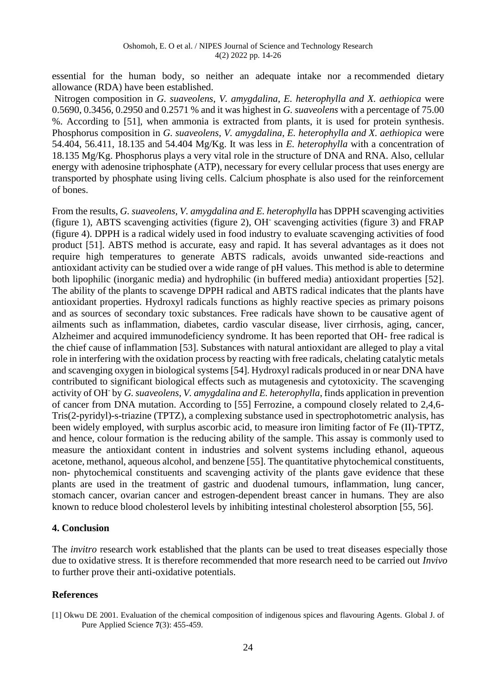essential for the human body, so neither an adequate intake nor a [recommended dietary](https://en.wikipedia.org/wiki/Recommended_Dietary_Allowance)  [allowance](https://en.wikipedia.org/wiki/Recommended_Dietary_Allowance) (RDA) have been established.

Nitrogen composition in *G. suaveolens, V. amygdalina, E. heterophylla and X. aethiopica* were 0.5690, 0.3456, 0.2950 and 0.2571 % and it was highest in *G. suaveolens* with a percentage of 75.00 %. According to [51], when ammonia is extracted from plants, it is used for protein synthesis. Phosphorus composition in *G. suaveolens, V. amygdalina, E. heterophylla and X. aethiopica* were 54.404, 56.411, 18.135 and 54.404 Mg/Kg. It was less in *E. heterophylla* with a concentration of 18.135 Mg/Kg. Phosphorus plays a very vital role in the structure of [DNA](https://en.wikipedia.org/wiki/DNA) and [RNA.](https://en.wikipedia.org/wiki/RNA) Also, cellular energy with [adenosine triphosphate](https://en.wikipedia.org/wiki/Adenosine_triphosphate) (ATP), necessary for every cellular process that uses energy are transported by phosphate using living cells. Calcium phosphate is also used for the reinforcement of bones.

From the results, *G. suaveolens, V. amygdalina and E. heterophylla* has DPPH scavenging activities (figure 1), ABTS scavenging activities (figure 2), OH-scavenging activities (figure 3) and FRAP (figure 4). DPPH is a radical widely used in food industry to evaluate scavenging activities of food product [51]. ABTS method is accurate, easy and rapid. It has several advantages as it does not require high temperatures to generate ABTS radicals, avoids unwanted side-reactions and antioxidant activity can be studied over a wide range of pH values. This method is able to determine both lipophilic (inorganic media) and hydrophilic (in buffered media) antioxidant properties [52]. The ability of the plants to scavenge DPPH radical and ABTS radical indicates that the plants have antioxidant properties. Hydroxyl radicals functions as highly reactive species as primary poisons and as sources of secondary toxic substances. Free radicals have shown to be causative agent of ailments such as inflammation, diabetes, cardio vascular disease, liver cirrhosis, aging, cancer, Alzheimer and acquired immunodeficiency syndrome. It has been reported that OH- free radical is the chief cause of inflammation [53]. Substances with natural antioxidant are alleged to play a vital role in interfering with the oxidation process by reacting with free radicals, chelating catalytic metals and scavenging oxygen in biological systems [54]. Hydroxyl radicals produced in or near DNA have contributed to significant biological effects such as mutagenesis and cytotoxicity. The scavenging activity of OH-by *G. suaveolens, V. amygdalina and E. heterophylla*, finds application in prevention of cancer from DNA mutation. According to [55] Ferrozine, a compound closely related to 2,4,6- Tris(2-pyridyl)-s-triazine (TPTZ), a complexing substance used in spectrophotometric analysis, has been widely employed, with surplus ascorbic acid, to measure iron limiting factor of Fe (II)-TPTZ, and hence, colour formation is the reducing ability of the sample. This assay is commonly used to measure the antioxidant content in industries and solvent systems including ethanol, aqueous acetone, methanol, aqueous alcohol, and benzene [55]. The quantitative phytochemical constituents, non- phytochemical constituents and scavenging activity of the plants gave evidence that these plants are used in the treatment of gastric and duodenal tumours, inflammation, lung cancer, stomach cancer, ovarian cancer and estrogen-dependent breast cancer in humans. They are also known to reduce blood cholesterol levels by inhibiting intestinal cholesterol absorption [55, 56].

#### **4. Conclusion**

The *invitro* research work established that the plants can be used to treat diseases especially those due to oxidative stress. It is therefore recommended that more research need to be carried out *Invivo*  to further prove their anti-oxidative potentials.

#### **References**

<sup>[1]</sup> Okwu DE 2001. Evaluation of the chemical composition of indigenous spices and flavouring Agents. Global J. of Pure Applied Science **7**(3): 455-459.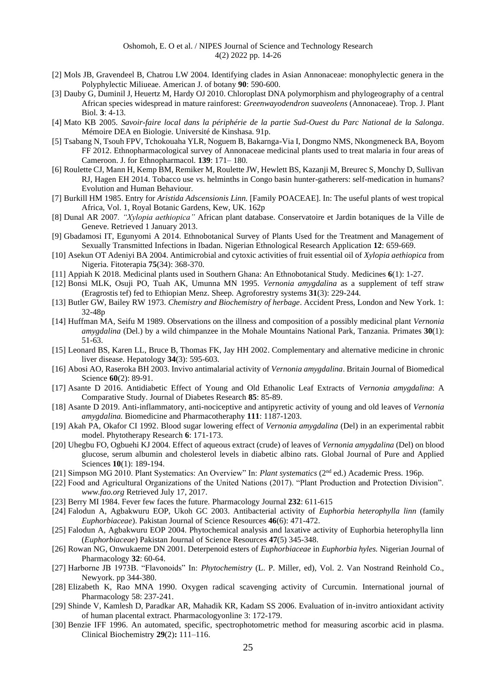- [2] Mols JB, Gravendeel B, Chatrou LW 2004. Identifying clades in Asian Annonaceae: monophylectic genera in the Polyphylectic Miliueae. American J. of botany **90**: 590-600.
- [3] Dauby G, Duminil J, Heuertz M, Hardy OJ 2010. Chloroplast DNA polymorphism and phylogeography of a central African species widespread in mature rainforest: *Greenwayodendron suaveolens* (Annonaceae). Trop. J. Plant Biol*.* **3**: 4-13.
- [4] Mato KB 2005. *Savoir-faire local dans la périphérie de la partie Sud-Ouest du Parc National de la Salonga*. Mémoire DEA en Biologie. Université de Kinshasa. 91p.
- [5] Tsabang N, Tsouh FPV, Tchokouaha YLR, Noguem B, Bakarnga-Via I, Dongmo NMS, Nkongmeneck BA, Boyom FF 2012. Ethnopharmacological survey of Annonaceae medicinal plants used to treat malaria in four areas of Cameroon. J. for Ethnopharmacol*.* **139**: 171– 180*.*
- [6] Roulette CJ, Mann H, Kemp BM, Remiker M, Roulette JW, Hewlett BS, Kazanji M, Breurec S, Monchy D, Sullivan RJ, Hagen EH 2014. Tobacco use *vs*. helminths in Congo basin hunter-gatherers: self-medication in humans? Evolution and Human Behaviour.
- [7] Burkill HM 1985. Entry for *Aristida Adscensionis Linn.* [Family POACEAE]. In: The useful plants of west tropical Africa, Vol. 1, Royal Botanic Gardens, Kew, UK. 162p
- [8] Dunal AR 2007*. "Xylopia aethiopica"* African plant database. Conservatoire et Jardin botaniques de la Ville de Geneve. Retrieved 1 January 2013.
- [9] Gbadamosi IT, Egunyomi A 2014. Ethnobotanical Survey of Plants Used for the Treatment and Management of Sexually Transmitted Infections in Ibadan. Nigerian Ethnological Research Application **12**: 659-669.
- [10] Asekun OT Adeniyi BA 2004. Antimicrobial and cytoxic activities of fruit essential oil of *Xylopia aethiopica* from Nigeria. Fitoterapia **75**(34): 368-370.
- [11] Appiah K 2018. Medicinal plants used in Southern Ghana: An Ethnobotanical Study. Medicines **6**(1): 1-27.
- [12] Bonsi MLK, Osuji PO, Tuah AK, Umunna MN 1995. *Vernonia amygdalina* as a supplement of teff straw (Eragrostis tef) fed to Ethiopian Menz. Sheep. Agroforestry systems **31**(3): 229-244.
- [13] Butler GW, Bailey RW 1973. *Chemistry and Biochemistry of herbage*. Accident Press, London and New York. 1: 32-48p
- [14] Huffman MA, Seifu M 1989. Observations on the illness and composition of a possibly medicinal plant *Vernonia amygdalina* (Del.) by a wild chimpanzee in the Mohale Mountains National Park, Tanzania. Primates **30**(1): 51-63.
- [15] Leonard BS, Karen LL, Bruce B, Thomas FK, Jay HH 2002. Complementary and alternative medicine in chronic liver disease. Hepatology **34**(3): 595-603.
- [16] Abosi AO, Raseroka BH 2003. Invivo antimalarial activity of *Vernonia amygdalina*. Britain Journal of Biomedical Science **60**(2): 89-91.
- [17] Asante D 2016. Antidiabetic Effect of Young and Old Ethanolic Leaf Extracts of *Vernonia amygdalina*: A Comparative Study. Journal of Diabetes Research **85**: 85-89.
- [18] Asante D 2019. Anti-inflammatory, anti-nociceptive and antipyretic activity of young and old leaves of *Vernonia amygdalina.* Biomedicine and Pharmacotheraphy **111**: 1187-1203.
- [19] Akah PA, Okafor CI 1992. Blood sugar lowering effect of *Vernonia amygdalina* (Del) in an experimental rabbit model. Phytotherapy Research **6**: 171-173.
- [20] Uhegbu FO, Ogbuehi KJ 2004. Effect of aqueous extract (crude) of leaves of *Vernonia amygdalina* (Del) on blood glucose, serum albumin and cholesterol levels in diabetic albino rats. Global Journal of Pure and Applied Sciences **10**(1): 189-194.
- [21] Simpson MG 2010. Plant Systematics: An Overview" In: *Plant systematics* (2<sup>nd</sup> ed.) Academic Press. 196p.
- [22] Food and Agricultural Organizations of the United Nations (2017). "Plant Production and Protection Division". *www.fao.org* Retrieved July 17, 2017.
- [23] Berry MI 1984. Fever few faces the future. Pharmacology Journal **232**: 611-615
- [24] Falodun A, Agbakwuru EOP, Ukoh GC 2003. Antibacterial activity of *Euphorbia heterophylla linn* (family *Euphorbiaceae*). Pakistan Journal of Science Resources **46**(6): 471-472.
- [25] Falodun A, Agbakwuru EOP 2004. Phytochemical analysis and laxative activity of Euphorbia heterophylla linn (*Euphorbiaceae*) Pakistan Journal of Science Resources **47**(5) 345-348.
- [26] Rowan NG, Onwukaeme DN 2001. Deterpenoid esters of *Euphorbiaceae* in *Euphorbia hyles.* Nigerian Journal of Pharmacology **32**: 60-64.
- [27] Harborne JB 1973B. "Flavonoids" In: *Phytochemistry* (L. P. Miller, ed), Vol. 2. Van Nostrand Reinhold Co., Newyork. pp 344-380.
- [28] Elizabeth K, Rao MNA 1990. Oxygen radical scavenging activity of Curcumin. International journal of Pharmacology 58: 237-241.
- [29] Shinde V, Kamlesh D, Paradkar AR, Mahadik KR, Kadam SS 2006. Evaluation of in-invitro antioxidant activity of human placental extract. Pharmacologyonline 3: 172-179.
- [30] Benzie IFF 1996. An automated, specific, spectrophotometric method for measuring ascorbic acid in plasma. Clinical Biochemistry **29**(2)**:** 111–116.